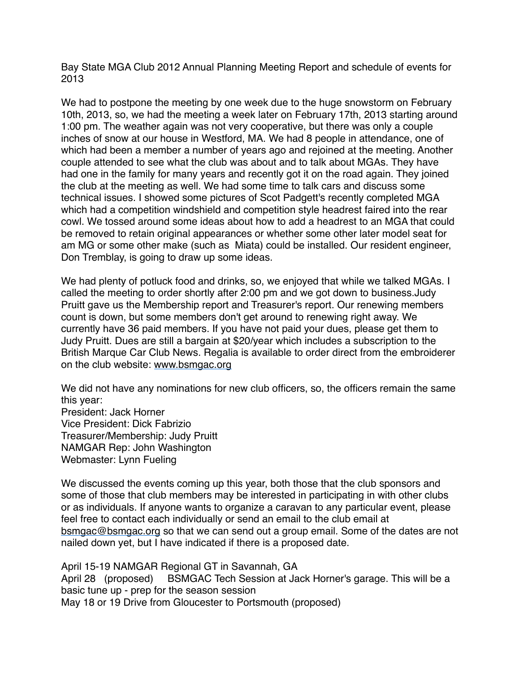Bay State MGA Club 2012 Annual Planning Meeting Report and schedule of events for 2013

We had to postpone the meeting by one week due to the huge snowstorm on February 10th, 2013, so, we had the meeting a week later on February 17th, 2013 starting around 1:00 pm. The weather again was not very cooperative, but there was only a couple inches of snow at our house in Westford, MA. We had 8 people in attendance, one of which had been a member a number of years ago and rejoined at the meeting. Another couple attended to see what the club was about and to talk about MGAs. They have had one in the family for many years and recently got it on the road again. They joined the club at the meeting as well. We had some time to talk cars and discuss some technical issues. I showed some pictures of Scot Padgett's recently completed MGA which had a competition windshield and competition style headrest faired into the rear cowl. We tossed around some ideas about how to add a headrest to an MGA that could be removed to retain original appearances or whether some other later model seat for am MG or some other make (such as Miata) could be installed. Our resident engineer, Don Tremblay, is going to draw up some ideas.

We had plenty of potluck food and drinks, so, we enjoyed that while we talked MGAs. I called the meeting to order shortly after 2:00 pm and we got down to business.Judy Pruitt gave us the Membership report and Treasurer's report. Our renewing members count is down, but some members don't get around to renewing right away. We currently have 36 paid members. If you have not paid your dues, please get them to Judy Pruitt. Dues are still a bargain at \$20/year which includes a subscription to the British Marque Car Club News. Regalia is available to order direct from the embroiderer on the club website: [www.bsmgac.org](http://www.bsmgac.org/)

We did not have any nominations for new club officers, so, the officers remain the same this year: President: Jack Horner Vice President: Dick Fabrizio Treasurer/Membership: Judy Pruitt

NAMGAR Rep: John Washington

Webmaster: Lynn Fueling

We discussed the events coming up this year, both those that the club sponsors and some of those that club members may be interested in participating in with other clubs or as individuals. If anyone wants to organize a caravan to any particular event, please feel free to contact each individually or send an email to the club email at [bsmgac@bsmgac.org](mailto:bsmgac@bsmgac.org) so that we can send out a group email. Some of the dates are not nailed down yet, but I have indicated if there is a proposed date.

April 15-19 NAMGAR Regional GT in Savannah, GA April 28 (proposed) BSMGAC Tech Session at Jack Horner's garage. This will be a basic tune up - prep for the season session May 18 or 19 Drive from Gloucester to Portsmouth (proposed)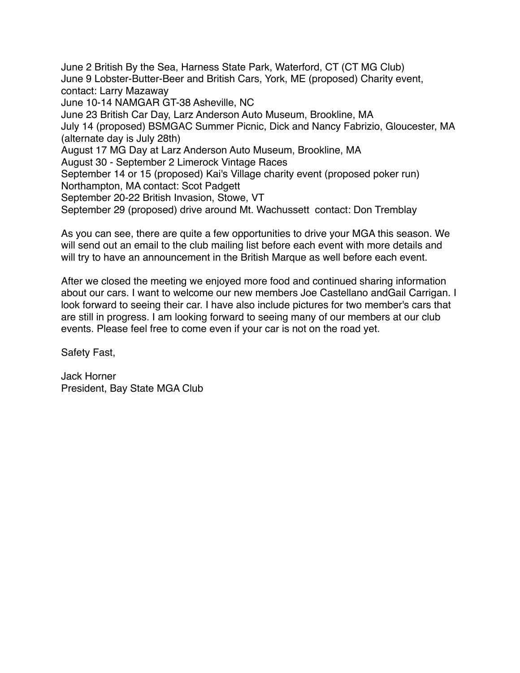June 2 British By the Sea, Harness State Park, Waterford, CT (CT MG Club) June 9 Lobster-Butter-Beer and British Cars, York, ME (proposed) Charity event, contact: Larry Mazaway June 10-14 NAMGAR GT-38 Asheville, NC June 23 British Car Day, Larz Anderson Auto Museum, Brookline, MA July 14 (proposed) BSMGAC Summer Picnic, Dick and Nancy Fabrizio, Gloucester, MA (alternate day is July 28th) August 17 MG Day at Larz Anderson Auto Museum, Brookline, MA August 30 - September 2 Limerock Vintage Races September 14 or 15 (proposed) Kai's Village charity event (proposed poker run) Northampton, MA contact: Scot Padgett September 20-22 British Invasion, Stowe, VT September 29 (proposed) drive around Mt. Wachussett contact: Don Tremblay

As you can see, there are quite a few opportunities to drive your MGA this season. We will send out an email to the club mailing list before each event with more details and will try to have an announcement in the British Marque as well before each event.

After we closed the meeting we enjoyed more food and continued sharing information about our cars. I want to welcome our new members Joe Castellano andGail Carrigan. I look forward to seeing their car. I have also include pictures for two member's cars that are still in progress. I am looking forward to seeing many of our members at our club events. Please feel free to come even if your car is not on the road yet.

Safety Fast,

Jack Horner President, Bay State MGA Club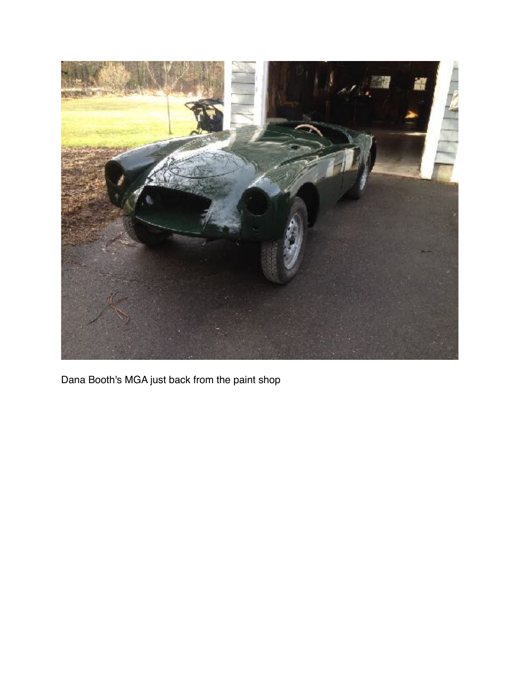

Dana Booth's MGA just back from the paint shop